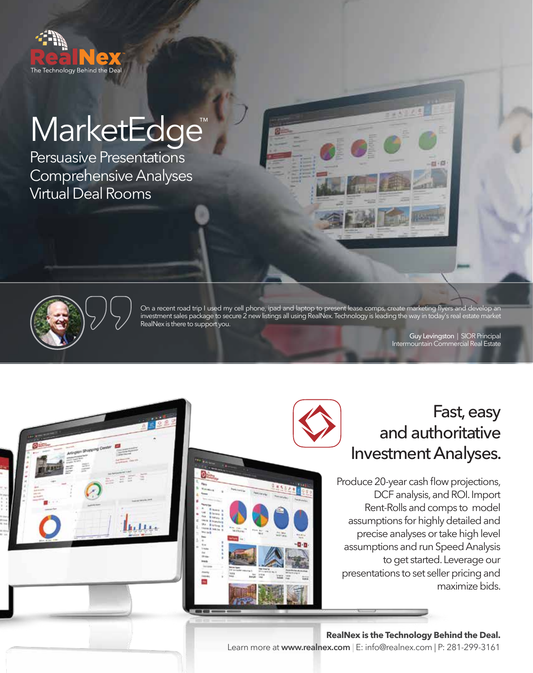

# MarketEdge<sup>™</sup>

Persuasive Presentations Comprehensive Analyses Virtual Deal Rooms



On a recent road trip I used my cell phone, ipad and laptop to present lease comps, create marketing flyers and develop an investment sales package to secure 2 new listings all using RealNex. Technology is leading the way in today's real estate market RealNex is there to support you.

> Guy Levingston | SIOR Principal Intermountain Commercial Real Estate





# Fast, easy and authoritative Investment Analyses.

Produce 20-year cash flow projections, DCF analysis, and ROI. Import Rent-Rolls and comps to model assumptions for highly detailed and precise analyses or take high level assumptions and run Speed Analysis to get started. Leverage our presentations to set seller pricing and maximize bids.

**RealNex is the Technology Behind the Deal.** Learn more at **www.realnex.com** | E: info@realnex.com | P: 281-299-3161